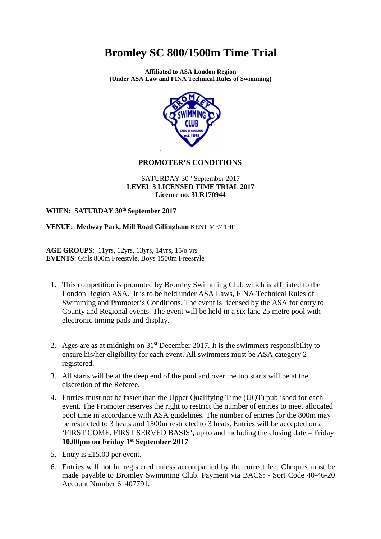**Affiliated to ASA London Region (Under ASA Law and FINA Technical Rules of Swimming)** 



#### **PROMOTER'S CONDITIONS**

#### SATURDAY 30<sup>th</sup> September 2017 **LEVEL 3 LICENSED TIME TRIAL 2017 Licence no. 3LR170944**

**WHEN: SATURDAY 30th September 2017** 

**VENUE: Medway Park, Mill Road Gillingham** KENT ME7 1HF

**AGE GROUPS**: 11yrs, 12yrs, 13yrs, 14yrs, 15/o yrs **EVENTS**: Girls 800m Freestyle, Boys 1500m Freestyle

- 1. This competition is promoted by Bromley Swimming Club which is affiliated to the London Region ASA. It is to be held under ASA Laws, FINA Technical Rules of Swimming and Promoter's Conditions. The event is licensed by the ASA for entry to County and Regional events. The event will be held in a six lane 25 metre pool with electronic timing pads and display.
- 2. Ages are as at midnight on  $31<sup>st</sup>$  December 2017. It is the swimmers responsibility to ensure his/her eligibility for each event. All swimmers must be ASA category 2 registered.
- 3. All starts will be at the deep end of the pool and over the top starts will be at the discretion of the Referee.
- 4. Entries must not be faster than the Upper Qualifying Time (UQT) published for each event. The Promoter reserves the right to restrict the number of entries to meet allocated pool time in accordance with ASA guidelines. The number of entries for the 800m may be restricted to 3 heats and 1500m restricted to 3 heats. Entries will be accepted on a 'FIRST COME, FIRST SERVED BASIS', up to and including the closing date – Friday **10.00pm on Friday 1st September 2017**
- 5. Entry is £15.00 per event.
- 6. Entries will not be registered unless accompanied by the correct fee. Cheques must be made payable to Bromley Swimming Club. Payment via BACS: - Sort Code 40-46-20 Account Number 61407791.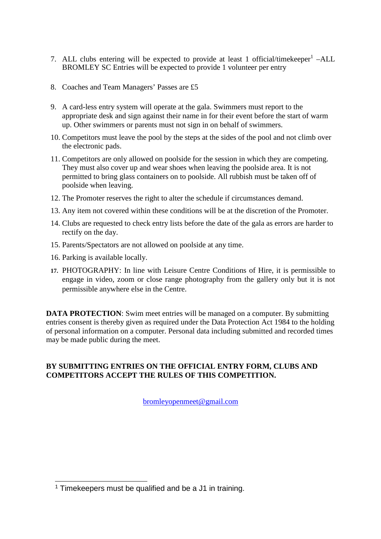- 7. ALL clubs entering will be expected to provide at least 1 official/timekeeper<sup>1</sup> -ALL BROMLEY SC Entries will be expected to provide 1 volunteer per entry
- 8. Coaches and Team Managers' Passes are £5
- 9. A card-less entry system will operate at the gala. Swimmers must report to the appropriate desk and sign against their name in for their event before the start of warm up. Other swimmers or parents must not sign in on behalf of swimmers.
- 10. Competitors must leave the pool by the steps at the sides of the pool and not climb over the electronic pads.
- 11. Competitors are only allowed on poolside for the session in which they are competing. They must also cover up and wear shoes when leaving the poolside area. It is not permitted to bring glass containers on to poolside. All rubbish must be taken off of poolside when leaving.
- 12. The Promoter reserves the right to alter the schedule if circumstances demand.
- 13. Any item not covered within these conditions will be at the discretion of the Promoter.
- 14. Clubs are requested to check entry lists before the date of the gala as errors are harder to rectify on the day.
- 15. Parents/Spectators are not allowed on poolside at any time.
- 16. Parking is available locally.
- **17.** PHOTOGRAPHY: In line with Leisure Centre Conditions of Hire, it is permissible to engage in video, zoom or close range photography from the gallery only but it is not permissible anywhere else in the Centre.

**DATA PROTECTION:** Swim meet entries will be managed on a computer. By submitting entries consent is thereby given as required under the Data Protection Act 1984 to the holding of personal information on a computer. Personal data including submitted and recorded times may be made public during the meet.

### **BY SUBMITTING ENTRIES ON THE OFFICIAL ENTRY FORM, CLUBS AND COMPETITORS ACCEPT THE RULES OF THIS COMPETITION.**

bromleyopenmeet@gmail.com

 $\overline{a}$ <sup>1</sup> Timekeepers must be qualified and be a J1 in training.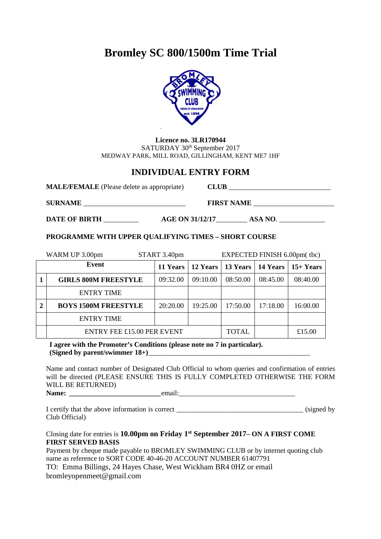

**Licence no. 3LR170944**  SATURDAY 30<sup>th</sup> September 2017 MEDWAY PARK, MILL ROAD, GILLINGHAM, KENT ME7 1HF

### **INDIVIDUAL ENTRY FORM**

| <b>MALE/FEMALE</b> (Please delete as appropriate) |                        | <b>CLUB</b>       |         |  |
|---------------------------------------------------|------------------------|-------------------|---------|--|
| <b>SURNAME</b>                                    |                        | <b>FIRST NAME</b> |         |  |
| <b>DATE OF BIRTH</b>                              | <b>AGE ON 31/12/17</b> |                   | ASA NO. |  |

#### **PROGRAMME WITH UPPER QUALIFYING TIMES – SHORT COURSE**

|   | WARM UP 3.00pm              | START 3.40pm | EXPECTED FINISH 6.00pm(tbc) |              |          |                                            |
|---|-----------------------------|--------------|-----------------------------|--------------|----------|--------------------------------------------|
|   | Event                       | 11 Years     |                             |              |          | 12 Years   13 Years   14 Years   15+ Years |
|   | <b>GIRLS 800M FREESTYLE</b> | 09:32.00     | 09:10.00                    | 08:50.00     | 08:45.00 | 08:40.00                                   |
|   | <b>ENTRY TIME</b>           |              |                             |              |          |                                            |
| 2 | <b>BOYS 1500M FREESTYLE</b> | 20:20.00     | 19:25.00                    | 17:50.00     | 17:18.00 | 16:00.00                                   |
|   | <b>ENTRY TIME</b>           |              |                             |              |          |                                            |
|   | ENTRY FEE £15.00 PER EVENT  |              |                             | <b>TOTAL</b> |          | £15.00                                     |

**I agree with the Promoter's Conditions (please note no 7 in particular). (Signed by parent/swimmer 18+)**\_\_\_\_\_\_\_\_\_\_\_\_\_\_\_\_\_\_\_\_\_\_\_\_\_\_\_\_\_\_\_\_\_\_\_\_\_\_\_\_\_\_\_\_\_\_

Name and contact number of Designated Club Official to whom queries and confirmation of entries will be directed (PLEASE ENSURE THIS IS FULLY COMPLETED OTHERWISE THE FORM WILL BE RETURNED)

**Name: \_\_\_\_\_\_\_\_\_\_\_\_\_\_\_\_\_\_\_\_\_\_\_\_\_\_** email:\_\_\_\_\_\_\_\_\_\_\_\_\_\_\_\_\_\_\_\_\_\_\_\_\_\_\_\_\_\_\_\_\_

I certify that the above information is correct \_\_\_\_\_\_\_\_\_\_\_\_\_\_\_\_\_\_\_\_\_\_\_\_\_\_\_\_\_\_\_\_\_\_\_\_ (signed by Club Official)

#### Closing date for entries is **10.00pm on Friday 1st September 2017– ON A FIRST COME FIRST SERVED BASIS**

Payment by cheque made payable to BROMLEY SWIMMING CLUB or by internet quoting club name as reference to SORT CODE 40-46-20 ACCOUNT NUMBER 61407791 TO: Emma Billings, 24 Hayes Chase, West Wickham BR4 0HZ or email bromleyopenmeet@gmail.com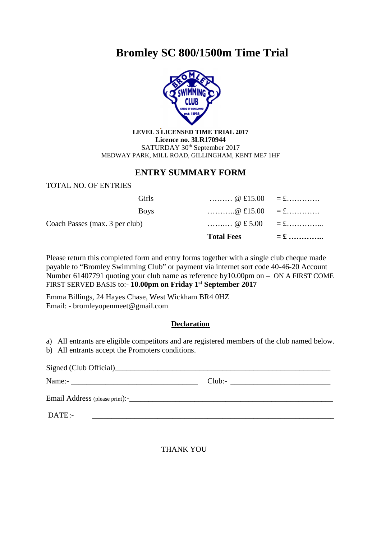

**LEVEL 3 LICENSED TIME TRIAL 2017 Licence no. 3LR170944**  SATURDAY 30<sup>th</sup> September 2017 MEDWAY PARK, MILL ROAD, GILLINGHAM, KENT ME7 1HF

### **ENTRY SUMMARY FORM**

#### TOTAL NO. OF ENTRIES

|                                |              | <b>Total Fees</b>                                                             | $=$ £ |
|--------------------------------|--------------|-------------------------------------------------------------------------------|-------|
| Coach Passes (max. 3 per club) |              | $\omega \pounds 5.00 = \pounds$                                               |       |
|                                | <b>Boys</b>  | $\ldots \ldots \ldots \textcirc \pounds}15.00 = \pounds \ldots \ldots \ldots$ |       |
|                                | <b>Girls</b> | $\ldots \ldots \ldots \textcircled{e}$ £15.00 = £                             |       |

Please return this completed form and entry forms together with a single club cheque made payable to "Bromley Swimming Club" or payment via internet sort code 40-46-20 Account Number 61407791 quoting your club name as reference by10.00pm on – ON A FIRST COME FIRST SERVED BASIS to:- **10.00pm on Friday 1st September 2017**

Emma Billings, 24 Hayes Chase, West Wickham BR4 0HZ Email: - bromleyopenmeet@gmail.com

#### **Declaration**

a) All entrants are eligible competitors and are registered members of the club named below.

b) All entrants accept the Promoters conditions.

|                                                                                                                           | Club: |
|---------------------------------------------------------------------------------------------------------------------------|-------|
|                                                                                                                           |       |
| DATE:-<br>the contract of the contract of the contract of the contract of the contract of the contract of the contract of |       |

THANK YOU